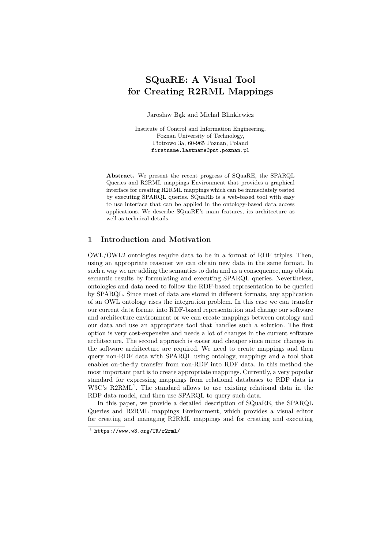# **SQuaRE: A Visual Tool for Creating R2RML Mappings**

Jarosław Bąk and Michał Blinkiewicz

Institute of Control and Information Engineering, Poznan University of Technology, Piotrowo 3a, 60-965 Poznan, Poland firstname.lastname@put.poznan.pl

**Abstract.** We present the recent progress of SQuaRE, the SPARQL Queries and R2RML mappings Environment that provides a graphical interface for creating R2RML mappings which can be immediately tested by executing SPARQL queries. SQuaRE is a web-based tool with easy to use interface that can be applied in the ontology-based data access applications. We describe SQuaRE's main features, its architecture as well as technical details.

### **1 Introduction and Motivation**

OWL/OWL2 ontologies require data to be in a format of RDF triples. Then, using an appropriate reasoner we can obtain new data in the same format. In such a way we are adding the semantics to data and as a consequence, may obtain semantic results by formulating and executing SPARQL queries. Nevertheless, ontologies and data need to follow the RDF-based representation to be queried by SPARQL. Since most of data are stored in different formats, any application of an OWL ontology rises the integration problem. In this case we can transfer our current data format into RDF-based representation and change our software and architecture environment or we can create mappings between ontology and our data and use an appropriate tool that handles such a solution. The first option is very cost-expensive and needs a lot of changes in the current software architecture. The second approach is easier and cheaper since minor changes in the software architecture are required. We need to create mappings and then query non-RDF data with SPARQL using ontology, mappings and a tool that enables on-the-fly transfer from non-RDF into RDF data. In this method the most important part is to create appropriate mappings. Currently, a very popular standard for expressing mappings from relational databases to RDF data is W3C's R2RML<sup>1</sup>. The standard allows to use existing relational data in the RDF data model, and then use SPARQL to query such data.

In this paper, we provide a detailed description of SQuaRE, the SPARQL Queries and R2RML mappings Environment, which provides a visual editor for creating and managing R2RML mappings and for creating and executing

 $1$  https://www.w3.org/TR/r2rml/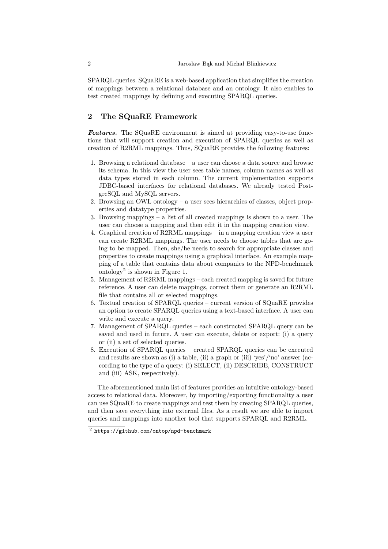SPARQL queries. SQuaRE is a web-based application that simplifies the creation of mappings between a relational database and an ontology. It also enables to test created mappings by defining and executing SPARQL queries.

## **2 The SQuaRE Framework**

*Features.* The SQuaRE environment is aimed at providing easy-to-use functions that will support creation and execution of SPARQL queries as well as creation of R2RML mappings. Thus, SQuaRE provides the following features:

- 1. Browsing a relational database a user can choose a data source and browse its schema. In this view the user sees table names, column names as well as data types stored in each column. The current implementation supports JDBC-based interfaces for relational databases. We already tested PostgreSQL and MySQL servers.
- 2. Browsing an OWL ontology a user sees hierarchies of classes, object properties and datatype properties.
- 3. Browsing mappings a list of all created mappings is shown to a user. The user can choose a mapping and then edit it in the mapping creation view.
- 4. Graphical creation of R2RML mappings in a mapping creation view a user can create R2RML mappings. The user needs to choose tables that are going to be mapped. Then, she/he needs to search for appropriate classes and properties to create mappings using a graphical interface. An example mapping of a table that contains data about companies to the NPD-benchmark ontology<sup>2</sup> is shown in Figure 1.
- 5. Management of R2RML mappings each created mapping is saved for future reference. A user can delete mappings, correct them or generate an R2RML file that contains all or selected mappings.
- 6. Textual creation of SPARQL queries current version of SQuaRE provides an option to create SPARQL queries using a text-based interface. A user can write and execute a query.
- 7. Management of SPARQL queries each constructed SPARQL query can be saved and used in future. A user can execute, delete or export: (i) a query or (ii) a set of selected queries.
- 8. Execution of SPARQL queries created SPARQL queries can be executed and results are shown as (i) a table, (ii) a graph or (iii) 'yes'/'no' answer (according to the type of a query: (i) SELECT, (ii) DESCRIBE, CONSTRUCT and (iii) ASK, respectively).

The aforementioned main list of features provides an intuitive ontology-based access to relational data. Moreover, by importing/exporting functionality a user can use SQuaRE to create mappings and test them by creating SPARQL queries, and then save everything into external files. As a result we are able to import queries and mappings into another tool that supports SPARQL and R2RML.

 $^2$  https://github.com/ontop/npd-benchmark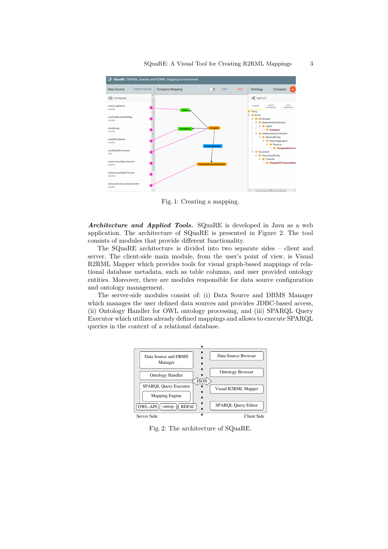

Fig. 1: Creating a mapping.

*Architecture and Applied Tools.* SQuaRE is developed in Java as a web application. The architecture of SQuaRE is presented in Figure 2. The tool consists of modules that provide different functionality.

The SQuaRE architecture is divided into two separate sides – client and server. The client-side main module, from the user's point of view, is Visual R2RML Mapper which provides tools for visual graph-based mappings of relational database metadata, such as table columns, and user provided ontology entities. Moreover, there are modules responsible for data source configuration and ontology management.

The server-side modules consist of: (i) Data Source and DBMS Manager which manages the user defined data sources and provides JDBC-based access, (ii) Ontology Handler for OWL ontology processing, and (iii) SPARQL Query Executor which utilizes already defined mappings and allows to execute SPARQL queries in the context of a relational database.



Fig. 2: The architecture of SQuaRE.